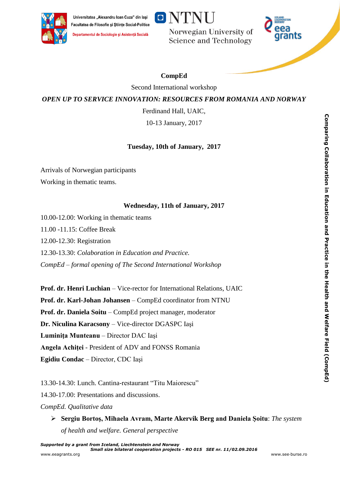



Departamentul de Sociologie și Asistență Socială

**ONTNU** 

Norwegian University of **Science and Technology** 



# **CompEd**

Second International workshop

## *OPEN UP TO SERVICE INNOVATION: RESOURCES FROM ROMANIA AND NORWAY*

Ferdinand Hall, UAIC,

10-13 January, 2017

## **Tuesday, 10th of January, 2017**

Arrivals of Norwegian participants Working in thematic teams.

### **Wednesday, 11th of January, 2017**

10.00-12.00: Working in thematic teams

11.00 -11.15: Coffee Break

12.00-12.30: Registration

12.30-13.30: *Colaboration in Education and Practice.*

*CompEd – formal opening of The Second International Workshop*

**Prof. dr. Henri Luchian** – Vice-rector for International Relations, UAIC **Prof. dr. Karl-Johan Johansen** – CompEd coordinator from NTNU **Prof. dr. Daniela Soitu** – CompEd project manager, moderator **Dr. Niculina Karacsony** – Vice-director DGASPC Iaşi **Luminiţa Munteanu** – Director DAC Iaşi **Angela Achiţei** - President of ADV and FONSS Romania **Egidiu Condac** – Director, CDC Iaşi

13.30-14.30: Lunch. Cantina-restaurant "Titu Maiorescu"

14.30-17.00: Presentations and discussions.

*CompEd. Qualitative data* 

 **Sergiu Bortoş, Mihaela Avram, Marte Akervik Berg and Daniela Şoitu**: *The system of health and welfare. General perspective*